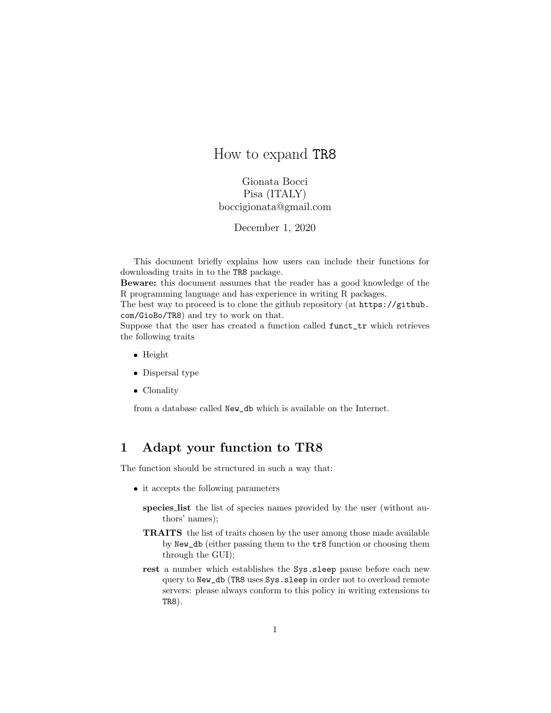## How to expand TR8

Gionata Bocci Pisa (ITALY) boccigionata@gmail.com

December 1, 2020

This document briefly explains how users can include their functions for downloading traits in to the TR8 package.

Beware: this document assumes that the reader has a good knowledge of the R programming language and has experience in writing R packages.

The best way to proceed is to clone the github repository (at https://github. com/GioBo/TR8) and try to work on that.

Suppose that the user has created a function called funct\_tr which retrieves the following traits

- Height
- Dispersal type
- Clonality

from a database called New\_db which is available on the Internet.

## 1 Adapt your function to TR8

The function should be structured in such a way that:

- it accepts the following parameters
	- species list the list of species names provided by the user (without authors' names);
	- TRAITS the list of traits chosen by the user among those made available by New\_db (either passing them to the tr8 function or choosing them through the GUI);
	- rest a number which establishes the Sys.sleep pause before each new query to New\_db (TR8 uses Sys.sleep in order not to overload remote servers: please always conform to this policy in writing extensions to TR8).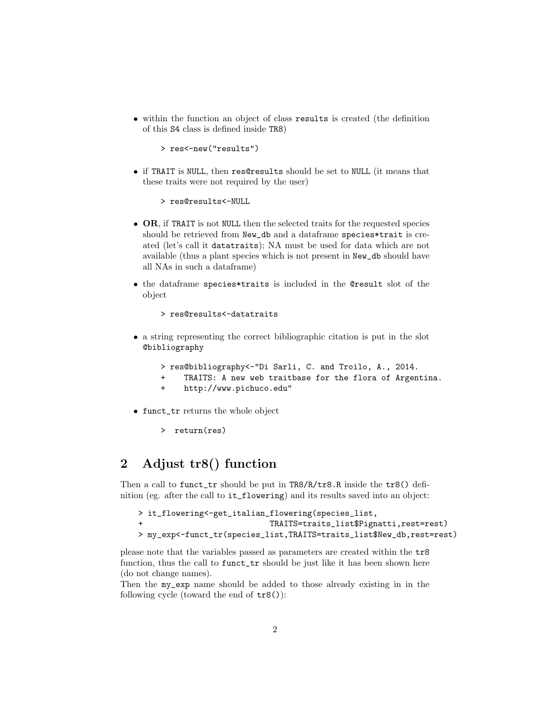within the function an object of class results is created (the definition of this S4 class is defined inside TR8)

> res<-new("results")

 if TRAIT is NULL, then res@results should be set to NULL (it means that these traits were not required by the user)

> res@results<-NULL

- **OR**, if TRAIT is not NULL then the selected traits for the requested species should be retrieved from New\_db and a dataframe species\*trait is created (let's call it datatraits); NA must be used for data which are not available (thus a plant species which is not present in New\_db should have all NAs in such a dataframe)
- the dataframe species\*traits is included in the @result slot of the object

```
> res@results<-datatraits
```
- a string representing the correct bibliographic citation is put in the slot @bibliography
	- > res@bibliography<-"Di Sarli, C. and Troilo, A., 2014.
	- + TRAITS: A new web traitbase for the flora of Argentina.
	- + http://www.pichuco.edu"
- funct\_tr returns the whole object
	- > return(res)

# 2 Adjust tr8() function

Then a call to funct\_tr should be put in TR8/R/tr8.R inside the tr8() definition (eg. after the call to it\_flowering) and its results saved into an object:

```
> it_flowering<-get_italian_flowering(species_list,
                            + TRAITS=traits_list$Pignatti,rest=rest)
> my_exp<-funct_tr(species_list,TRAITS=traits_list$New_db,rest=rest)
```
please note that the variables passed as parameters are created within the tr8 function, thus the call to funct\_tr should be just like it has been shown here (do not change names).

Then the my\_exp name should be added to those already existing in in the following cycle (toward the end of tr8()):